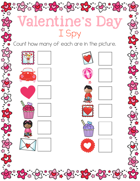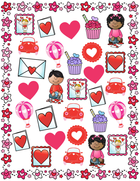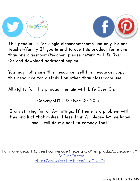



This product is for single classroom/home use only, by one teacher/family. If you intend to use this product for more than one classroom/teacher, please return to Life Over C's and download additional copies.

You may not share this resource, sell this resource, copy this resource for distribution other than classroom use.

All rights for this product remain with Life Over C's

Copyright© Life Over C's 2015

I am striving for all A+ ratings. If there is a problem with this product that makes it less than A+ please let me know and I will do my best to remedy that.

For more ideas & to see how we use these and other products, please visit: [LifeOverCs.com](http://lifeovercs.com) <https://www.facebook.com/LifeOverCs>